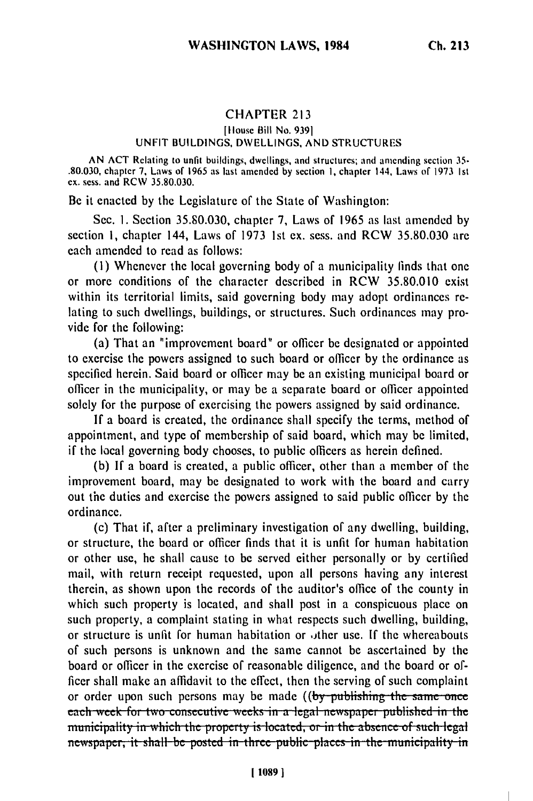## CHAPTER **213**

## [House Bill No. 939] UNFIT BUILDINGS, DWELLINGS, AND STRUCTURES

AN ACT Relating to unfit buildings, dwellings, and structures; and amending section 35- Art Act Relating to unit buildings, awellings, and structures; and amending section 35-<br>80.030, chapter 7, Laws of 1965 as last amended by section 1, chapter 144, Laws of 1973 1st

Be it enacted by the Legislature of the State of Washington:

Sec. 1. Section 35.80.030, chapter 7, Laws of 1965 as last amended by section **1,** chapter 144, Laws of 1973 Ist ex. sess. and RCW 35.80.030 are each amended to read as follows:

(i) Whenever the local governing body of a municipality finds that one or more conditions of the character described in RCW 35.80.010 exist within its territorial limits, said governing body may adopt ordinances relating to such dwellings, buildings, or structures. Such ordinances may provide for the following:

(a) That an "improvement board" or officer be designated or appointed to exercise the powers assigned to such board or officer by the ordinance as specified herein. Said board or officer may be an existing municipal board or officer in the municipality, or may be a separate board or officer appointed solely for the purpose of exercising the powers assigned by said ordinance.

If a board is created, the ordinance shall specify the terms, method of appointment, and type of membership of said board, which may be limited, if the local governing body chooses, to public officers as herein defined.

(b) **If** a board is created, a public officer, other than a member of the improvement board, may be designated to work with the board and carry out the duties and exercise the powers assigned to said public officer by the ordinance.

(c) That if, after a preliminary investigation of any dwelling, building, or structure, the board or officer finds that it is unfit for human habitation or other use, he shall cause to be served either personally or by certified mail, with return receipt requested, upon all persons having any interest therein, as shown upon the records of the auditor's office of the county in which such property is located, and shall post in a conspicuous place on such property, a complaint stating in what respects such dwelling, building, or structure is unfit for human habitation or other use. If the whereabouts of such persons is unknown and the same cannot be ascertained by the board or officer in the exercise of reasonable diligence, and the board or officer shall make an affidavit to the effect, then the serving of such complaint or order upon such persons may be made  $((by - publishing the same once$ each week for two consecutive weeks in a legal newspaper published in the municipality in which the property is located, or in the absence of such legal newspaper, it shall be posted in three public places in the municipality in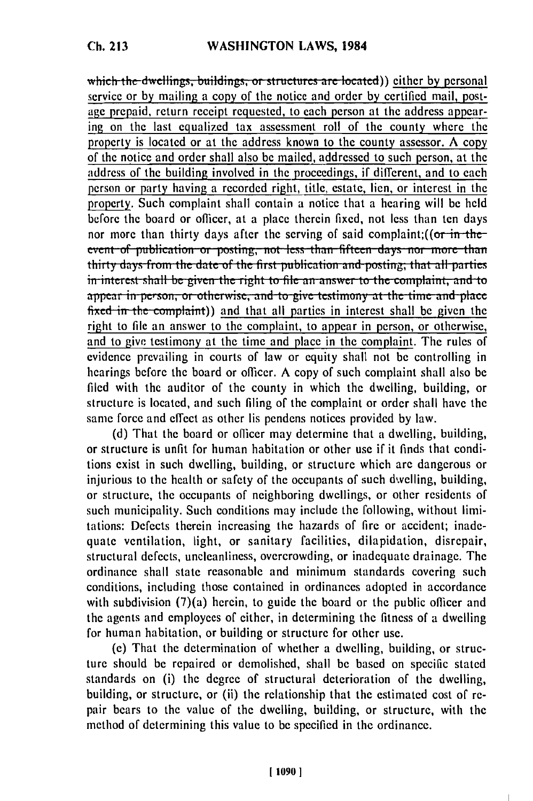**ratively** *the dwellings, buildings, or structures are located))* **cither by personal** service or by mailing a copy of the notice and order by certified mail, postage prepaid, return receipt requested, to each person at the address appearing on the last equalized tax assessment roll of the county where the property is located or at the address known to the county assessor. **A** copy of the notice and order shall also be mailed, addressed to such person, at the address of the building involved in the proceedings, if different, and to each person or party having a recorded right, title, estate, lien, or interest in the property. Such complaint shall contain a notice that a hearing will be **held** before the board or officer, at a place therein fixed, not less than ten days nor more than thirty days after the serving of said complaint; ((or in the event of publication or posting, not less than fifteen days nor more than **inary days from the date of the first publication and posting; that all parties in interest shall be given the right to file an answer to the complaint, and to** appear in person, or otherwise, and to give testimony at the time and place fixed in the complaint)) and that all parties in interest shall be given the right to file an answer to the complaint, to appear in person, or otherwise, and to give testimony at the time and place in the complaint. The rules of evidence prevailing in courts of law or equity shall not be controlling in hearings before the board or officer. **A** copy of such complaint shall also be filed with the auditor of the county in which the dwelling, building, or structure is located, and such filing of the complaint or order shall have the same force and effect as other lis pendens notices provided **by** law.

**(d)** That the board or officer may determine that a dwelling, building, or structure is unfit for human habitation or other use if it finds that conditions exist in such dwelling, building, or structure which are dangerous or injurious to the health or safety of the occupants of such dwelling, building, or structure, the occupants of neighboring dwellings, or other residents of such municipality. Such conditions may include the following, without limitations: Defects therein increasing the hazards of fire or accident; inadequate ventilation, light, or sanitary facilities, dilapidation, disrepair, structural defects, uncleanliness, overcrowding, or inadequate drainage. The ordinance shall state reasonable and minimum standards covering such conditions, including those contained in ordinances adopted in accordance with subdivision (7)(a) herein, to guide the board or the public officer and the agents and employees of either, in determining the fitness of a dwelling for human habitation, or building or structure for other use.

**(c)** That the determination of whether a dwelling, building, or structure should **be** repaired or demolished, shall **be** based on specific stated standards on (i) the degree of structural deterioration of the dwelling, building, or structure, or (ii) the relationship that the estimated cost of repair bears to the value of the dwelling, building, or structure, with the method of determining this value to **be** specified in the ordinance.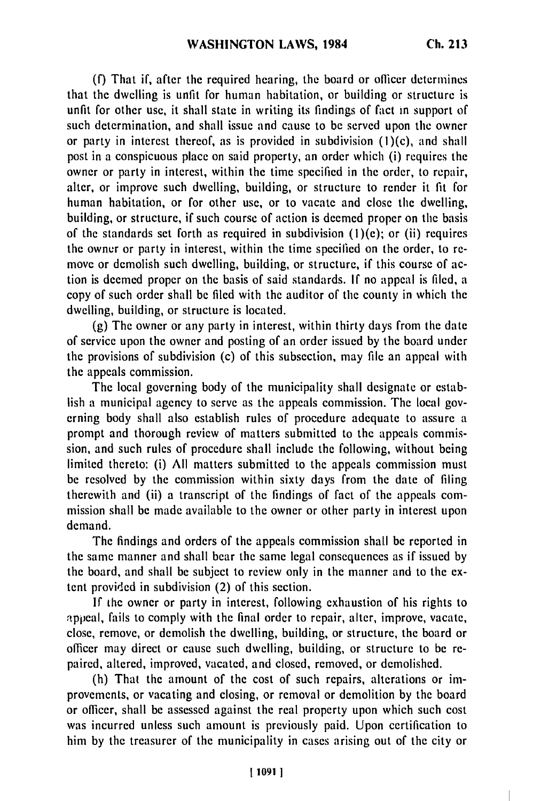**(f)** That if, after the required hearing, the board or officer determines that the dwelling is unfit for human habitation, or building or structure is unfit for other use, it shall state in writing its findings of fact in support **of** such determination, and shall issue and cause to be served upon the owner or party in interest thereof, as is provided in subdivision (1)(c), and shall post in a conspicuous place on said property, an order which (i) requires the owner or party in interest, within the time specified in the order, to repair, alter, or improve such dwelling, building, or structure to render it fit for human habitation, or for other use, or to vacate and close the dwelling, building, or structure, if such course of action is deemed proper on the basis of the standards set forth as required in subdivision  $(1)(e)$ ; or  $(ii)$  requires the owner or party in interest, within the time specified on the order, to remove or demolish such dwelling, building, or structure, if this course of action is deemed proper on the basis of said standards. **If** no appeal is filed, a copy of such order shall be filed with the auditor of the county in which the dwelling, building, or structure is located.

(g) The owner or any party in interest, within thirty days from the date of service upon the owner and posting of an order issued by the board under the provisions of subdivision (c) of this subsection, may file an appeal with the appeals commission.

The local governing body of the municipality shall designate or establish a municipal agency to serve as the appeals commission. The local governing body shall also establish rules of procedure adequate to assure a prompt and thorough review of matters submitted to the appeals commission, and such rules of procedure shall include the following, without being limited thereto: (i) All matters submitted to the appeals commission must be resolved by the commission within sixty days from the date of filing therewith and (ii) a transcript of the findings of fact of the appeals commission shall be made available to the owner or other party in interest upon demand.

The findings and orders of the appeals commission shall be reported in the same manner and shall bear the same legal consequences as if issued by the board, and shall be subject to review only in the manner and to the extent provided in subdivision (2) of this section.

If the owner or party in interest, following exhaustion of his rights to appeal, fails to comply with the final order to repair, alter, improve, vacate, close, remove, or demolish the dwelling, building, or structure, the board or officer may direct or cause such dwelling, building, or structure to be repaired, altered, improved, vacated, and closed, removed, or demolished.

(h) That the amount of the cost of such repairs, alterations or improvements, or vacating and closing, or removal or demolition by the board or officer, shall be assessed against the real property upon which such cost was incurred unless such amount is previously paid. Upon certification to him by the treasurer of the municipality in cases arising out of the city or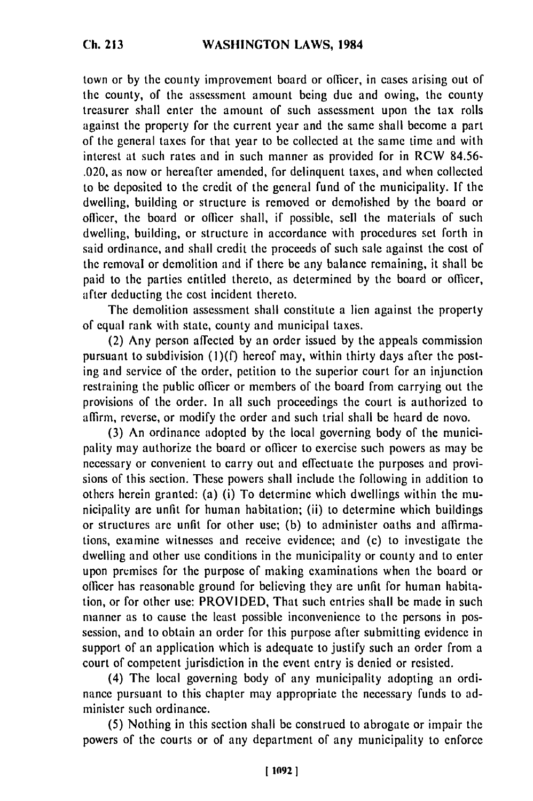town or by the county improvement board or officer, in cases arising out **of** the county, of the assessment amount being due and owing, the county treasurer shall enter the amount **of** such assessment upon the tax rolls against the property for the current year and the same shall become a part of the general taxes for that year to be collected at the same time and with interest at such rates and in such manner as provided for in RCW **84.56-** .020, as now or hereafter amended, for delinquent taxes, and when collected to be deposited to the credit of the general fund of the municipality. **If** the dwelling, building or structure is removed or demolished **by** the board or officer, the board or officer shall, if possible, sell the materials of such dwelling, building, or structure in accordance with procedures set forth in said ordinance, and shall credit the proceeds of such sale against the cost of the removal or demolition and if there be any balance remaining, it shall be paid to the parties entitled thereto, as determined **by** the board or officer, after deducting the cost incident thereto.

The demolition assessment shall constitute a lien against the property of equal rank with state, county and municipal taxes.

(2) Any person affected **by** an order issued **by** the appeals commission pursuant to subdivision **(l)(f)** hereof may, within thirty days after the posting and service of the order, petition to the superior court for an injunction restraining the public officer or members of the board from carrying out the provisions of the order. In all such proceedings the court is authorized to affirm, reverse, or modify the order and such trial shall be heard de novo.

**(3)** An ordinance adopted **by** the local governing body of the municipality may authorize the board or officer to exercise such powers as may be necessary or convenient to carry out and effectuate the purposes and provisions of this section. These powers shall include the following in addition to others herein granted: (a) (i) To determine which dwellings within the municipality are unfit for human habitation; (ii) to determine which buildings or structures are unfit for other use; **(b)** to administer oaths and affirmations, examine witnesses and receive evidence; and (c) to investigate the dwelling and other use conditions in the municipality or county and to enter upon premises for the purpose of making examinations when the board or officer has reasonable ground for believing they are unfit for human habitation, or for other use: PROVIDED, That such entries shall be made in such manner as to cause the least possible inconvenience to the persons in possession, and to obtain an order for this purpose after submitting evidence in support of an application which is adequate to justify such an order from a court of competent jurisdiction in the event entry is denied or resisted.

(4) The local governing body of any municipality adopting an ordinance pursuant to this chapter may appropriate the necessary funds to administer such ordinance.

**(5)** Nothing in this section shall be construed to abrogate or impair the powers of the courts or of any department of any municipality to enforce